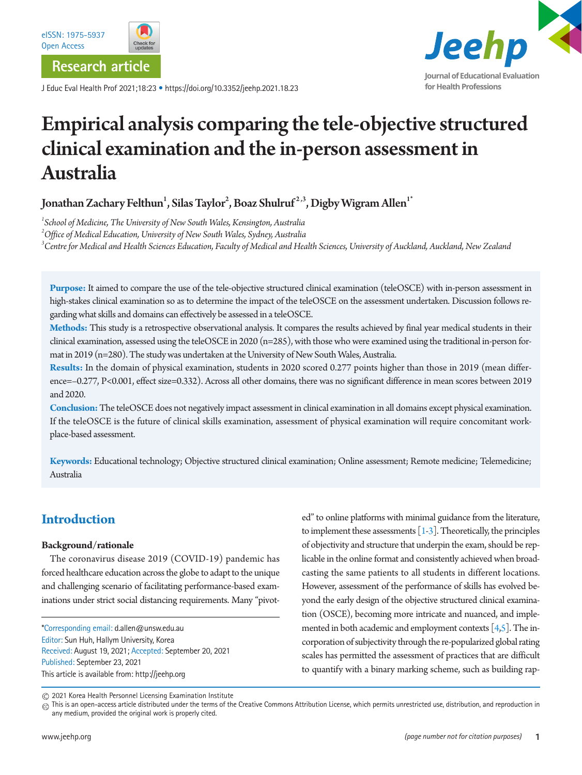

J Educ Eval Health Prof 2021;18:23 • https://doi.org/10.3352/jeehp.2021.18.23



# Empirical analysis comparing the tele-objective structured clinical examination and the in-person assessment in Australia

Jonathan Zachary Felthun $^{\rm l}$ , Silas Taylor $^{\rm 2}$ , Boaz Shulruf $^{\rm 2,3}$ , Digby Wigram Allen $^{\rm l^{\ast}}$ 

*1 School of Medicine, The University of New South Wales, Kensington, Australia 2 Office of Medical Education, University of New South Wales, Sydney, Australia 3 Centre for Medical and Health Sciences Education, Faculty of Medical and Health Sciences, University of Auckland, Auckland, New Zealand*

**Purpose:** It aimed to compare the use of the tele-objective structured clinical examination (teleOSCE) with in-person assessment in high-stakes clinical examination so as to determine the impact of the teleOSCE on the assessment undertaken. Discussion follows regarding what skills and domains can effectively be assessed in a teleOSCE.

**Methods:** This study is a retrospective observational analysis. It compares the results achieved by final year medical students in their clinical examination, assessed using the teleOSCE in 2020 (n=285), with those who were examined using the traditional in-person format in 2019 (n=280). The study was undertaken at the University of New South Wales, Australia.

**Results:** In the domain of physical examination, students in 2020 scored 0.277 points higher than those in 2019 (mean difference=–0.277, P<0.001, effect size=0.332). Across all other domains, there was no significant difference in mean scores between 2019 and 2020.

**Conclusion:** The teleOSCE does not negatively impact assessment in clinical examination in all domains except physical examination. If the teleOSCE is the future of clinical skills examination, assessment of physical examination will require concomitant workplace-based assessment.

**Keywords:** Educational technology; Objective structured clinical examination; Online assessment; Remote medicine; Telemedicine; Australia

# **Introduction**

## **Background/rationale**

The coronavirus disease 2019 (COVID-19) pandemic has forced healthcare education across the globe to adapt to the unique and challenging scenario of facilitating performance-based examinations under strict social distancing requirements. Many "pivot-

\*Corresponding email: d.allen@unsw.edu.au Editor: Sun Huh, Hallym University, Korea Received: August 19, 2021; Accepted: September 20, 2021 Published: September 23, 2021 This article is available from: http://jeehp.org

ed" to online platforms with minimal guidance from the literature, to implement these assessments  $[1-3]$  $[1-3]$  $[1-3]$ . Theoretically, the principles of objectivity and structure that underpin the exam, should be replicable in the online format and consistently achieved when broadcasting the same patients to all students in different locations. However, assessment of the performance of skills has evolved beyond the early design of the objective structured clinical examination (OSCE), becoming more intricate and nuanced, and implemented in both academic and employment contexts  $[4,5]$  $[4,5]$ . The incorporation of subjectivity through the re-popularized global rating scales has permitted the assessment of practices that are difficult to quantify with a binary marking scheme, such as building rap-

2021 Korea Health Personnel Licensing Examination Institute

 $_{\textcircled{c}}$  This is an open-access article distributed under the terms of the Creative Commons Attribution License, which permits unrestricted use, distribution, and reproduction in any medium, provided the original work is properly cited.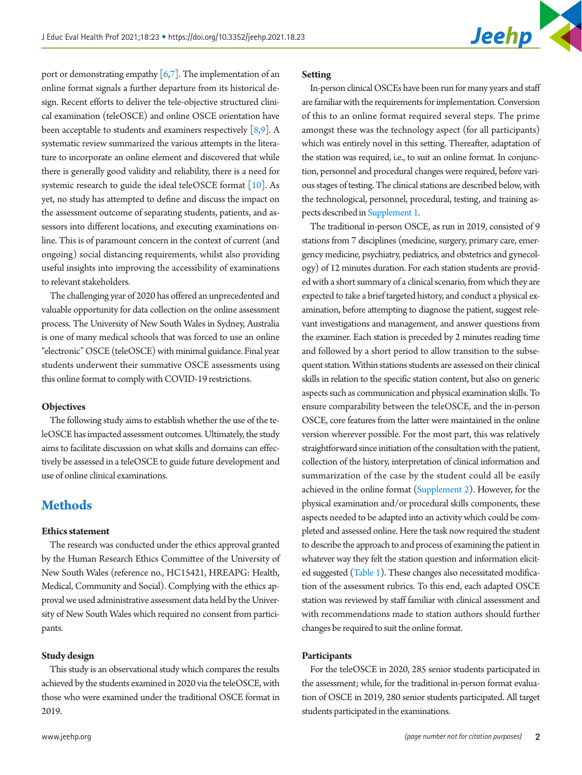port or demonstrating empathy  $\lceil 6, 7 \rceil$ . The implementation of an online format signals a further departure from its historical design. Recent efforts to deliver the tele-objective structured clinical examination (teleOSCE) and online OSCE orientation have been acceptable to students and examiners respectively  $[8,9]$  $[8,9]$  $[8,9]$ . A systematic review summarized the various attempts in the literature to incorporate an online element and discovered that while there is generally good validity and reliability, there is a need for systemic research to guide the ideal teleOSCE format  $[10]$  $[10]$ . As yet, no study has attempted to define and discuss the impact on the assessment outcome of separating students, patients, and assessors into different locations, and executing examinations online. This is of paramount concern in the context of current (and ongoing) social distancing requirements, whilst also providing useful insights into improving the accessibility of examinations to relevant stakeholders.

The challenging year of 2020 has offered an unprecedented and valuable opportunity for data collection on the online assessment process. The University of New South Wales in Sydney, Australia is one of many medical schools that was forced to use an online "electronic" OSCE (teleOSCE) with minimal guidance. Final year students underwent their summative OSCE assessments using this online format to comply with COVID-19 restrictions.

#### **Objectives**

The following study aims to establish whether the use of the teleOSCE has impacted assessment outcomes. Ultimately, the study aims to facilitate discussion on what skills and domains can effectively be assessed in a teleOSCE to guide future development and use of online clinical examinations.

## **Methods**

#### **Ethics statement**

The research was conducted under the ethics approval granted by the Human Research Ethics Committee of the University of New South Wales (reference no., HC15421, HREAPG: Health, Medical, Community and Social). Complying with the ethics approval we used administrative assessment data held by the University of New South Wales which required no consent from participants.

## **Study design**

This study is an observational study which compares the results achieved by the students examined in 2020 via the teleOSCE, with those who were examined under the traditional OSCE format in 2019.

#### **Setting**

In-person clinical OSCEs have been run for many years and staff are familiar with the requirements for implementation. Conversion of this to an online format required several steps. The prime amongst these was the technology aspect (for all participants) which was entirely novel in this setting. Thereafter, adaptation of the station was required, i.e., to suit an online format. In conjunction, personnel and procedural changes were required, before various stages of testing. The clinical stations are described below, with the technological, personnel, procedural, testing, and training aspects described in [Supplement 1.](#page-5-0)

The traditional in-person OSCE, as run in 2019, consisted of 9 stations from 7 disciplines (medicine, surgery, primary care, emergency medicine, psychiatry, pediatrics, and obstetrics and gynecology) of 12 minutes duration. For each station students are provided with a short summary of a clinical scenario, from which they are expected to take a brief targeted history, and conduct a physical examination, before attempting to diagnose the patient, suggest relevant investigations and management, and answer questions from the examiner. Each station is preceded by 2 minutes reading time and followed by a short period to allow transition to the subsequent station. Within stations students are assessed on their clinical skills in relation to the specific station content, but also on generic aspects such as communication and physical examination skills. To ensure comparability between the teleOSCE, and the in-person OSCE, core features from the latter were maintained in the online version wherever possible. For the most part, this was relatively straightforward since initiation of the consultation with the patient, collection of the history, interpretation of clinical information and summarization of the case by the student could all be easily achieved in the online format [\(Supplement 2](#page-5-0)). However, for the physical examination and/or procedural skills components, these aspects needed to be adapted into an activity which could be completed and assessed online. Here the task now required the student to describe the approach to and process of examining the patient in whatever way they felt the station question and information elicited suggested [\(Table 1](#page-2-0)). These changes also necessitated modification of the assessment rubrics. To this end, each adapted OSCE station was reviewed by staff familiar with clinical assessment and with recommendations made to station authors should further changes be required to suit the online format.

#### **Participants**

For the teleOSCE in 2020, 285 senior students participated in the assessment; while, for the traditional in-person format evaluation of OSCE in 2019, 280 senior students participated. All target students participated in the examinations.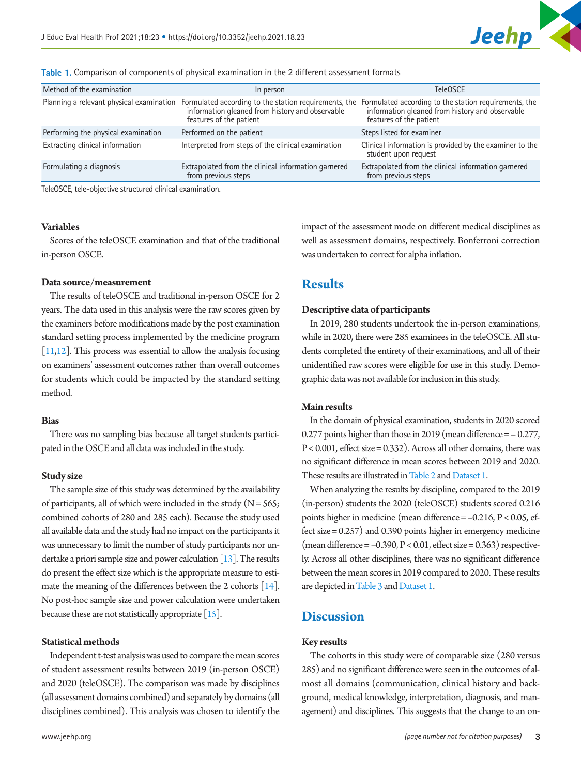| Method of the examination                | In person                                                                  | TeleOSCE                                                                                                                                                                                  |
|------------------------------------------|----------------------------------------------------------------------------|-------------------------------------------------------------------------------------------------------------------------------------------------------------------------------------------|
| Planning a relevant physical examination | information gleaned from history and observable<br>features of the patient | Formulated according to the station requirements, the Formulated according to the station requirements, the<br>information gleaned from history and observable<br>features of the patient |
| Performing the physical examination      | Performed on the patient                                                   | Steps listed for examiner                                                                                                                                                                 |
| Extracting clinical information          | Interpreted from steps of the clinical examination                         | Clinical information is provided by the examiner to the<br>student upon request                                                                                                           |
| Formulating a diagnosis                  | Extrapolated from the clinical information garnered<br>from previous steps | Extrapolated from the clinical information garnered<br>from previous steps                                                                                                                |

<span id="page-2-0"></span>**Table 1.** Comparison of components of physical examination in the 2 different assessment formats

TeleOSCE, tele-objective structured clinical examination.

#### **Variables**

Scores of the teleOSCE examination and that of the traditional in-person OSCE.

### **Data source/measurement**

The results of teleOSCE and traditional in-person OSCE for 2 years. The data used in this analysis were the raw scores given by the examiners before modifications made by the post examination standard setting process implemented by the medicine program [\[11](#page-6-9)[,12](#page-6-10)]. This process was essential to allow the analysis focusing on examiners' assessment outcomes rather than overall outcomes for students which could be impacted by the standard setting method.

## **Bias**

There was no sampling bias because all target students participated in the OSCE and all data was included in the study.

#### **Study size**

The sample size of this study was determined by the availability of participants, all of which were included in the study  $(N = 565;$ combined cohorts of 280 and 285 each). Because the study used all available data and the study had no impact on the participants it was unnecessary to limit the number of study participants nor undertake a priori sample size and power calculation  $[13]$ . The results do present the effect size which is the appropriate measure to esti-mate the meaning of the differences between the 2 cohorts [\[14](#page-6-12)]. No post-hoc sample size and power calculation were undertaken because these are not statistically appropriate [\[15](#page-6-13)].

## **Statistical methods**

Independent t-test analysis was used to compare the mean scores of student assessment results between 2019 (in-person OSCE) and 2020 (teleOSCE). The comparison was made by disciplines (all assessment domains combined) and separately by domains (all disciplines combined). This analysis was chosen to identify the impact of the assessment mode on different medical disciplines as well as assessment domains, respectively. Bonferroni correction was undertaken to correct for alpha inflation.

## **Results**

#### **Descriptive data of participants**

In 2019, 280 students undertook the in-person examinations, while in 2020, there were 285 examinees in the teleOSCE. All students completed the entirety of their examinations, and all of their unidentified raw scores were eligible for use in this study. Demographic data was not available for inclusion in this study.

## **Main results**

In the domain of physical examination, students in 2020 scored 0.277 points higher than those in 2019 (mean difference = – 0.277,  $P < 0.001$ , effect size = 0.332). Across all other domains, there was no significant difference in mean scores between 2019 and 2020. These results are illustrated in [Table 2](#page-3-0) and Dataset 1.

When analyzing the results by discipline, compared to the 2019 (in-person) students the 2020 (teleOSCE) students scored 0.216 points higher in medicine (mean difference = –0.216, P < 0.05, effect size = 0.257) and 0.390 points higher in emergency medicine (mean difference  $= -0.390$ ,  $P < 0.01$ , effect size  $= 0.363$ ) respectively. Across all other disciplines, there was no significant difference between the mean scores in 2019 compared to 2020. These results are depicted in [Table 3](#page-3-1) and [Dataset 1](#page-5-1).

## **Discussion**

## **Key results**

The cohorts in this study were of comparable size (280 versus 285) and no significant difference were seen in the outcomes of almost all domains (communication, clinical history and background, medical knowledge, interpretation, diagnosis, and management) and disciplines. This suggests that the change to an on-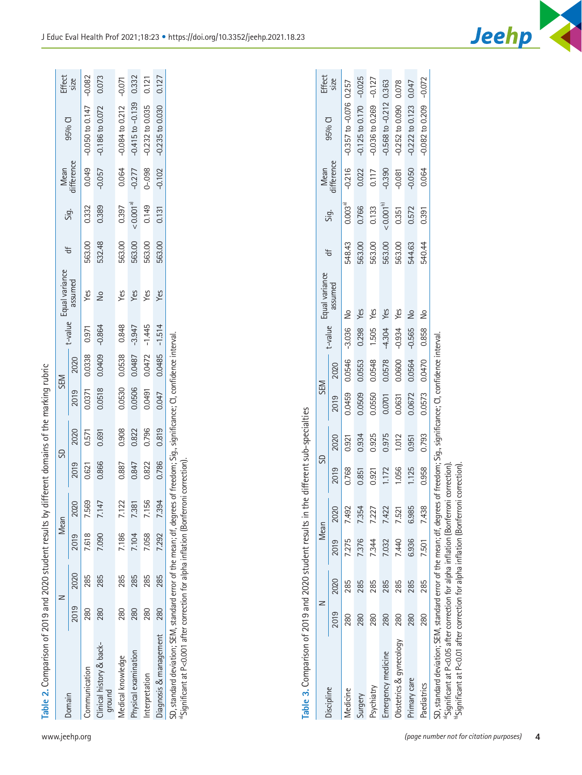| Table 2. Comparison of 2019 and 2020 student results by different domains of the marking rubric                                                                                                                                    |      |      |       |       |       |       |        |                  |          |                        |        |                      |            |                      |                |
|------------------------------------------------------------------------------------------------------------------------------------------------------------------------------------------------------------------------------------|------|------|-------|-------|-------|-------|--------|------------------|----------|------------------------|--------|----------------------|------------|----------------------|----------------|
|                                                                                                                                                                                                                                    | z    |      | Mean  |       |       | SD    |        | SEM              |          | t-value Equal variance | ₩      |                      | Mean       |                      |                |
| Domain                                                                                                                                                                                                                             | 2019 | 2020 | 2019  | 2020  | 2019  | 2020  | 2019   | 2020             |          | assumed                |        | Sig.                 | difference | 95% CI               | Effect<br>size |
| Communication                                                                                                                                                                                                                      | 280  | 285  | 7.618 | 7.569 | 0.621 | 0.571 | 0.0371 | 0.0338           | 0.971    | Yes                    | 563.00 | 0.332                | 0.049      | $-0.050$ to $0.147$  | $-0.082$       |
| Clinical history & back-<br>ground                                                                                                                                                                                                 | 280  | 285  | 7.090 | 7.147 | 0.866 | 0.691 | 0.0518 | 0.0409           | $-0.864$ | å                      | 532.48 | 0.389                | $-0.057$   | $-0.186$ to $0.072$  | 0.073          |
| Medical knowledge                                                                                                                                                                                                                  | 280  | 285  | 7.186 | 7.122 | 0.887 | 0.908 | 0.0530 | 0.0538           | 0.848    | Yes                    | 563.00 | 0.397                | 0.064      | $-0.084$ to 0.212    | $-0.071$       |
| Physical examination                                                                                                                                                                                                               | 280  | 285  | 7.104 | 7.381 | 0.847 | 0.822 | 0.0506 | 0.0487           | $-3.947$ | Yes                    | 563.00 | < 0.001 <sup>a</sup> | $-0.277$   | $-0.415$ to $-0.139$ | 0.332          |
| Interpretation                                                                                                                                                                                                                     | 280  | 285  | 7.058 | 7.156 | 0.822 | 0.796 | 0.0491 | $0.0472 - 1.445$ |          | Yes                    | 563.00 | 0.149                | $0 - .098$ | $-0.232$ to 0.035    | 0.121          |
| Diagnosis & management                                                                                                                                                                                                             | 280  | 285  | 7.292 | 7.394 | 0.786 | 0.819 | 0.047  | 0.0485           | $-1.514$ | Yes                    | 563.00 | 0.131                | $-0.102$   | $-0.235$ to $0.030$  | 0.127          |
| SD, standard deviation; SEM, standard error of the mean; df, degrees of freedom; Sig,, significance; CI, confidence interval.<br><sup>a</sup> Significant at P<0.001 after correction for alpha inflation (Bonferroni correction). |      |      |       |       |       |       |        |                  |          |                        |        |                      |            |                      |                |
|                                                                                                                                                                                                                                    |      |      |       |       |       |       |        |                  |          |                        |        |                      |            |                      |                |

<span id="page-3-0"></span>Table 3. Comparison of 2019 and 2020 student results in the different sub-specialties **Table 3.** Comparison of 2019 and 2020 student results in the different sub-specialties

|                                                                                                                                                                                                                                   |      |      |             |           |       | $\frac{1}{2}$ : $\frac{1}{2}$ : $\frac{1}{2}$ , $\frac{1}{2}$ , $\frac{1}{2}$ , $\frac{1}{2}$ , $\frac{1}{2}$ ; $\frac{1}{2}$ ; $\frac{1}{2}$ ; $\frac{1}{2}$ |        |                  |          |                        |        |               |                    |                              |                |
|-----------------------------------------------------------------------------------------------------------------------------------------------------------------------------------------------------------------------------------|------|------|-------------|-----------|-------|---------------------------------------------------------------------------------------------------------------------------------------------------------------|--------|------------------|----------|------------------------|--------|---------------|--------------------|------------------------------|----------------|
|                                                                                                                                                                                                                                   |      |      | Mean        |           | S     |                                                                                                                                                               | SEM    |                  |          |                        | ₩      |               |                    | 95% CI                       | Effect<br>size |
| Discipline                                                                                                                                                                                                                        | 2019 | 2020 |             | 2019 2020 | 2019  | 2020                                                                                                                                                          | 2019   | 2020             |          | t-value Equal variance |        | Sig.          | Mean<br>difference |                              |                |
| <b>Aedicine</b>                                                                                                                                                                                                                   | 280  | 285  | 7.275       | 7.492     | 0.768 | 0.921                                                                                                                                                         | 0.0459 | 0.0546 -3.036 No |          |                        | 548.43 | $0.003^{a}$   | $-0.216$           | $-0.357$ to $-0.076$ 0.257   |                |
| Surgery                                                                                                                                                                                                                           | 280  | 285  | 7.376       | 7.354     | 0.851 | 0.934                                                                                                                                                         | 0.0509 | 0.0553           | 0.298    | Yes                    | 563.00 | 0.766         | 0.022              | $-0.125$ to $0.170$ $-0.025$ |                |
| Psychiatry                                                                                                                                                                                                                        | 280  | 285  | 7.344       | 7.227     | 0.921 | 0.925                                                                                                                                                         | 0.0550 | 0.0548           | 1.505    | Yes                    | 563.00 | 0.133         | 0.117              | $-0.036$ to $0.269$          | $-0.127$       |
| imergency medicine                                                                                                                                                                                                                | 280  | 285  | 7.032       | 7.422     | 1.172 | 0.975                                                                                                                                                         | 0.0701 | 0.0578           | $-4.304$ | Yes                    | 563.00 | $< 0.001^{b}$ | -0.390             | $-0.568$ to $-0.212$         | 0.363          |
| Obstetrics & gynecology                                                                                                                                                                                                           | 280  | 285  | 7.440       | 7.521     | 1.056 | 1.012                                                                                                                                                         | 0.0631 | 0.0600           | $-0.934$ | Yes                    | 563.00 | 0.351         | -0.081             | $-0.252$ to $0.090$          | 0.078          |
| Primary care                                                                                                                                                                                                                      | 280  | 285  | 6.936       | 6.985     | 1.125 | 0.951                                                                                                                                                         | 0.0672 | 0.0564           | $-0.565$ | Ş                      | 544.63 | 0.572         | $-0.050$           | $-0.222$ to $0.123$          | 0.047          |
| Paediatrics                                                                                                                                                                                                                       | 280  | 285  | 7.501 7.438 |           | 0.958 | 0.793                                                                                                                                                         | 0.0573 | 0.0470           | 0.858    | ş                      | 540.44 | 0.391         | 0.064              | 0.082 to 0.209               | $-0.072$       |
| .D, standard deviation; SEM, standard error of the mean; df, degrees of freedom; Sig., significance; CI, confidence interval.<br><sup>a</sup> Significant at P<0.05 after correction for alpha inflation (Bonferroni correction). |      |      |             |           |       |                                                                                                                                                               |        |                  |          |                        |        |               |                    |                              |                |
|                                                                                                                                                                                                                                   |      |      |             |           |       |                                                                                                                                                               |        |                  |          |                        |        |               |                    |                              |                |

<span id="page-3-1"></span><sup>b</sup>Significant at P<0.01 after correction for alpha inflation (Bonferroni correction). b)Significant at P<0.01 after correction for alpha inflation (Bonferroni correction).



 $\bar{1}$ 

 $\mathbb{R}^n$ 

 $\mathbf{r}$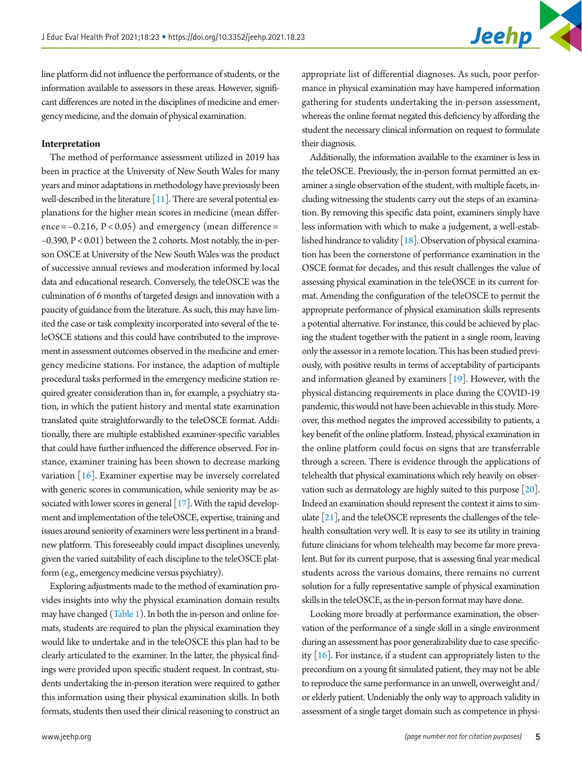line platform did not influence the performance of students, or the information available to assessors in these areas. However, significant differences are noted in the disciplines of medicine and emergency medicine, and the domain of physical examination.

#### **Interpretation**

The method of performance assessment utilized in 2019 has been in practice at the University of New South Wales for many years and minor adaptations in methodology have previously been well-described in the literature [11]. There are several potential explanations for the higher mean scores in medicine (mean differ- $\text{ence} = -0.216$ ,  $P < 0.05$ ) and emergency (mean difference = –0.390, P < 0.01) between the 2 cohorts. Most notably, the in-person OSCE at University of the New South Wales was the product of successive annual reviews and moderation informed by local data and educational research. Conversely, the teleOSCE was the culmination of 6 months of targeted design and innovation with a paucity of guidance from the literature. As such, this may have limited the case or task complexity incorporated into several of the teleOSCE stations and this could have contributed to the improvement in assessment outcomes observed in the medicine and emergency medicine stations. For instance, the adaption of multiple procedural tasks performed in the emergency medicine station required greater consideration than in, for example, a psychiatry station, in which the patient history and mental state examination translated quite straightforwardly to the teleOSCE format. Additionally, there are multiple established examiner-specific variables that could have further influenced the difference observed. For instance, examiner training has been shown to decrease marking variation [\[16](#page-6-11)]. Examiner expertise may be inversely correlated with generic scores in communication, while seniority may be as-sociated with lower scores in general [\[17\]](#page-6-14). With the rapid development and implementation of the teleOSCE, expertise, training and issues around seniority of examiners were less pertinent in a brandnew platform. This foreseeably could impact disciplines unevenly, given the varied suitability of each discipline to the teleOSCE platform (e.g., emergency medicine versus psychiatry).

Exploring adjustments made to the method of examination provides insights into why the physical examination domain results may have changed (Table 1). In both the in-person and online formats, students are required to plan the physical examination they would like to undertake and in the teleOSCE this plan had to be clearly articulated to the examiner. In the latter, the physical findings were provided upon specific student request. In contrast, students undertaking the in-person iteration were required to gather this information using their physical examination skills. In both formats, students then used their clinical reasoning to construct an

appropriate list of differential diagnoses. As such, poor performance in physical examination may have hampered information gathering for students undertaking the in-person assessment, whereas the online format negated this deficiency by affording the student the necessary clinical information on request to formulate their diagnosis.

Additionally, the information available to the examiner is less in the teleOSCE. Previously, the in-person format permitted an examiner a single observation of the student, with multiple facets, including witnessing the students carry out the steps of an examination. By removing this specific data point, examiners simply have less information with which to make a judgement, a well-established hindrance to validity [\[18\]](#page-6-13). Observation of physical examination has been the cornerstone of performance examination in the OSCE format for decades, and this result challenges the value of assessing physical examination in the teleOSCE in its current format. Amending the configuration of the teleOSCE to permit the appropriate performance of physical examination skills represents a potential alternative. For instance, this could be achieved by placing the student together with the patient in a single room, leaving only the assessor in a remote location. This has been studied previously, with positive results in terms of acceptability of participants and information gleaned by examiners [\[19](#page-6-15)]. However, with the physical distancing requirements in place during the COVID-19 pandemic, this would not have been achievable in this study. Moreover, this method negates the improved accessibility to patients, a key benefit of the online platform. Instead, physical examination in the online platform could focus on signs that are transferrable through a screen. There is evidence through the applications of telehealth that physical examinations which rely heavily on observation such as dermatology are highly suited to this purpose [\[20\]](#page-6-16). Indeed an examination should represent the context it aims to simulate [\[21\]](#page-6-17), and the teleOSCE represents the challenges of the telehealth consultation very well. It is easy to see its utility in training future clinicians for whom telehealth may become far more prevalent. But for its current purpose, that is assessing final year medical students across the various domains, there remains no current solution for a fully representative sample of physical examination skills in the teleOSCE, as the in-person format may have done.

Looking more broadly at performance examination, the observation of the performance of a single skill in a single environment during an assessment has poor generalizability due to case specificity  $[16]$ . For instance, if a student can appropriately listen to the precordium on a young fit simulated patient, they may not be able to reproduce the same performance in an unwell, overweight and/ or elderly patient. Undeniably the only way to approach validity in assessment of a single target domain such as competence in physi-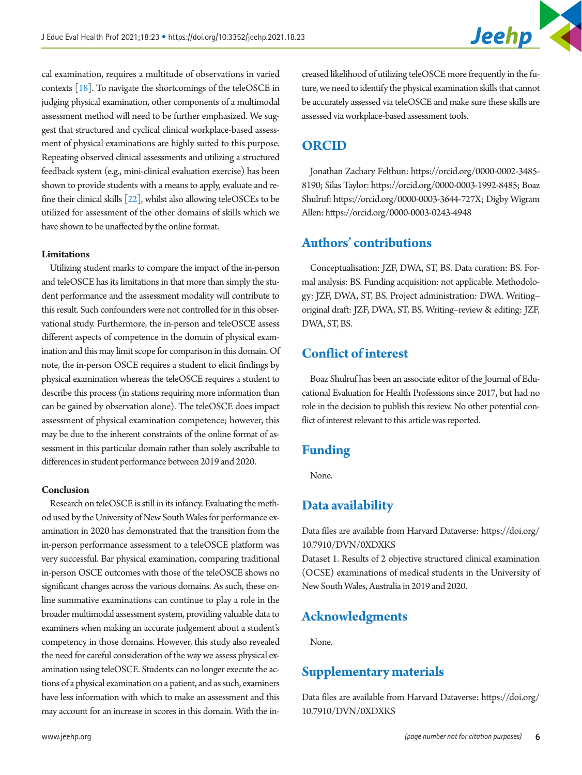cal examination, requires a multitude of observations in varied contexts [\[18](#page-6-13)]. To navigate the shortcomings of the teleOSCE in judging physical examination, other components of a multimodal assessment method will need to be further emphasized. We suggest that structured and cyclical clinical workplace-based assessment of physical examinations are highly suited to this purpose. Repeating observed clinical assessments and utilizing a structured feedback system (e.g., mini-clinical evaluation exercise) has been shown to provide students with a means to apply, evaluate and refine their clinical skills [\[22](#page-6-18)], whilst also allowing teleOSCEs to be utilized for assessment of the other domains of skills which we have shown to be unaffected by the online format.

### **Limitations**

Utilizing student marks to compare the impact of the in-person and teleOSCE has its limitations in that more than simply the student performance and the assessment modality will contribute to this result. Such confounders were not controlled for in this observational study. Furthermore, the in-person and teleOSCE assess different aspects of competence in the domain of physical examination and this may limit scope for comparison in this domain. Of note, the in-person OSCE requires a student to elicit findings by physical examination whereas the teleOSCE requires a student to describe this process (in stations requiring more information than can be gained by observation alone). The teleOSCE does impact assessment of physical examination competence; however, this may be due to the inherent constraints of the online format of assessment in this particular domain rather than solely ascribable to differences in student performance between 2019 and 2020.

#### **Conclusion**

Research on teleOSCE is still in its infancy. Evaluating the method used by the University of New South Wales for performance examination in 2020 has demonstrated that the transition from the in-person performance assessment to a teleOSCE platform was very successful. Bar physical examination, comparing traditional in-person OSCE outcomes with those of the teleOSCE shows no significant changes across the various domains. As such, these online summative examinations can continue to play a role in the broader multimodal assessment system, providing valuable data to examiners when making an accurate judgement about a student's competency in those domains. However, this study also revealed the need for careful consideration of the way we assess physical examination using teleOSCE. Students can no longer execute the actions of a physical examination on a patient, and as such, examiners have less information with which to make an assessment and this may account for an increase in scores in this domain. With the in-

creased likelihood of utilizing teleOSCE more frequently in the future, we need to identify the physical examination skills that cannot be accurately assessed via teleOSCE and make sure these skills are assessed via workplace-based assessment tools.

## **ORCID**

Jonathan Zachary Felthun: [https://orcid.org/0000-0002-3485-](http://orcid.org/0000-0002-3485-8190) [819](http://orcid.org/0000-0002-3485-8190)0; Silas Taylor: [https://orcid.org/0000-0003-1992-8485](http://orcid.org/0000-0003-1992-8485); Boaz Shulruf: [https://orcid.org/0000-0003-3644-727](http://orcid.org/0000-0003-3644-727X)X; Digby Wigram Allen: [https://orcid.org/0000-0003-0243-4948](http://orcid.org/0000-0003-0243-4948)

## **Authors' contributions**

Conceptualisation: JZF, DWA, ST, BS. Data curation: BS. Formal analysis: BS. Funding acquisition: not applicable. Methodology: JZF, DWA, ST, BS. Project administration: DWA. Writing– original draft: JZF, DWA, ST, BS. Writing–review & editing: JZF, DWA, ST, BS.

# **Conflict of interest**

Boaz Shulruf has been an associate editor of the Journal of Educational Evaluation for Health Professions since 2017, but had no role in the decision to publish this review. No other potential conflict of interest relevant to this article was reported.

# **Funding**

None.

# <span id="page-5-1"></span>**Data availability**

Data files are available from Harvard Dataverse: [https://doi.org/](https://doi.org/10.7910/DVN/0XDXKS) [10.7910/DVN/0XDXKS](https://doi.org/10.7910/DVN/0XDXKS)

Dataset 1. Results of 2 objective structured clinical examination (OCSE) examinations of medical students in the University of New South Wales, Australia in 2019 and 2020.

## **Acknowledgments**

None.

## <span id="page-5-0"></span>**Supplementary materials**

Data files are available from Harvard Dataverse: [https://doi.org/](https://doi.org/10.7910/DVN/0XDXKS) [10.7910/DVN/0XDXKS](https://doi.org/10.7910/DVN/0XDXKS)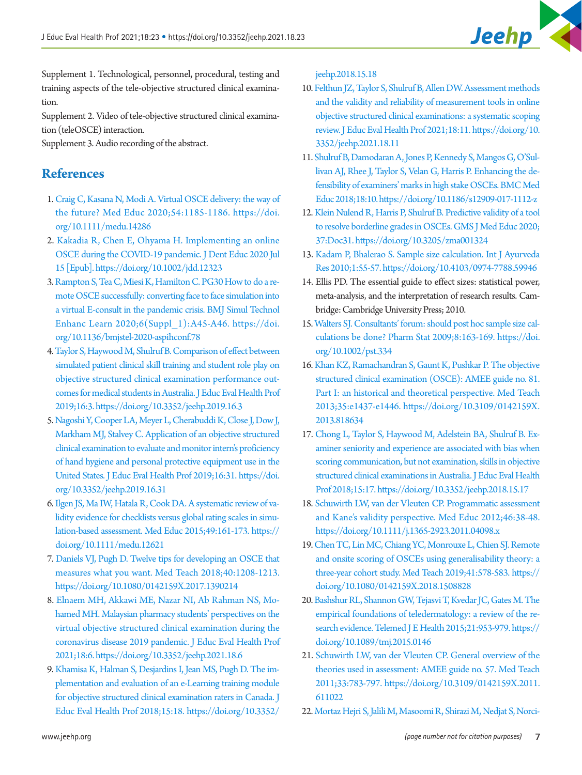Supplement 1. Technological, personnel, procedural, testing and training aspects of the tele-objective structured clinical examination.

Supplement 2. Video of tele-objective structured clinical examination (teleOSCE) interaction.

Supplement 3. Audio recording of the abstract.

# **References**

- <span id="page-6-0"></span>1. [Craig C, Kasana N, Modi A. Virtual OSCE delivery: the way of](https://doi.org/10.1111/medu.14286) [the future? Med Educ 2020;54:1185-1186. https://doi.](https://doi.org/10.1111/medu.14286) [org/10.1111/medu.14286](https://doi.org/10.1111/medu.14286)
- 2. [Kakadia R, Chen E, Ohyama H. Implementing an online](https://doi.org/10.1002/jdd.12323)  [OSCE during the COVID-19 pandemic. J Dent Educ 2020 Jul](https://doi.org/10.1002/jdd.12323) [15 \[Epub\]. https://doi.org/10.1002/jdd.12323](https://doi.org/10.1002/jdd.12323)
- <span id="page-6-1"></span>3. [Rampton S, Tea C, Miesi K, Hamilton C. PG30 How to do a re](https://doi.org/10.1136/bmjstel-2020-aspihconf.78)[mote OSCE successfully: converting face to face simulation into](https://doi.org/10.1136/bmjstel-2020-aspihconf.78)  [a virtual E-consult in the pandemic crisis. BMJ Simul Technol](https://doi.org/10.1136/bmjstel-2020-aspihconf.78)  [Enhanc Learn 2020;6\(Suppl\\_1\):A45-A46. https://doi.](https://doi.org/10.1136/bmjstel-2020-aspihconf.78) [org/10.1136/bmjstel-2020-](https://doi.org/10.1136/bmjstel-2020-aspihconf.78)aspihconf.78
- <span id="page-6-2"></span>[4. Taylor S, Haywood M, Shulruf B. Comparison of effect between](https://doi.org/10.3352/jeehp.2019.16.3) [simulated patient clinical skill training and student role play on](https://doi.org/10.3352/jeehp.2019.16.3) [objective structured clinical examination performance out](https://doi.org/10.3352/jeehp.2019.16.3)[comes for medical students in Australia. J Educ Eval Health Prof](https://doi.org/10.3352/jeehp.2019.16.3) [2019;16:3. https://](https://doi.org/10.3352/jeehp.2019.16.3)doi.org/10.3352/jeehp.2019.16.3
- <span id="page-6-3"></span>[5. Nagoshi Y, Cooper LA, Meyer L, Cherabuddi K, Close J, Dow J,](https://doi.org/10.3352/jeehp.2019.16.31)  [Markham MJ, Stalvey C. Application of an objective structured](https://doi.org/10.3352/jeehp.2019.16.31) [clinical examination to evaluate and monitor intern's proficiency](https://doi.org/10.3352/jeehp.2019.16.31)  [of hand hygiene and personal protective equipment use in the](https://doi.org/10.3352/jeehp.2019.16.31) [United States.](https://doi.org/10.3352/jeehp.2019.16.31) J Educ Eval Health Prof 2019;16:31. https://doi. org/10.3352/jeehp.2019.16.31
- <span id="page-6-4"></span>[6. Ilgen JS, Ma IW, Hatala R, Cook DA. A systematic review of va](https://doi.org/10.1111/medu.12621)[lidity evidence for checklists versus global rating scales in simu](https://doi.org/10.1111/medu.12621)[lation-based assessment. Med Educ 2015;49:161-173. https://](https://doi.org/10.1111/medu.12621) [doi.org/10.1111/medu.12621](https://doi.org/10.1111/medu.12621)
- <span id="page-6-5"></span>[7. Daniels VJ, Pugh D. Twelve tips for developing an OSCE that](https://doi.org/10.1080/0142159X.2017.1390214)  [measures what you want. Med Teach 2018;40:1208-1213.](https://doi.org/10.1080/0142159X.2017.1390214)  <https://doi.org/10.1080/0142159X.2017.1390214>
- <span id="page-6-6"></span>8. [Elnaem MH, Akkawi ME, Nazar NI, Ab Rahman NS, Mo](https://doi.org/10.3352/jeehp.2021.18.6)[hamed MH. Malaysian pharmacy students' perspectives on the](https://doi.org/10.3352/jeehp.2021.18.6)  [virtual objective structured clinical examination during the](https://doi.org/10.3352/jeehp.2021.18.6) [coronavirus disease 2019 pandemic. J Educ Eval Health Prof](https://doi.org/10.3352/jeehp.2021.18.6) [2021;18:6. https://doi.org/1](https://doi.org/10.3352/jeehp.2021.18.6)0.3352/jeehp.2021.18.6
- <span id="page-6-9"></span><span id="page-6-7"></span>9. [Khamisa K, Halman S, Desjardins I, Jean MS, Pugh D. The im](https://doi.org/10.3352/jeehp.2018.15.18)[plementation and evaluation of an e-Learning training module](https://doi.org/10.3352/jeehp.2018.15.18)  [for objective structured clinical examination raters in Canada. J](https://doi.org/10.3352/jeehp.2018.15.18) [Educ Eval Health Prof 2018;15:18. https://doi.org/10.3352/](https://doi.org/10.3352/jeehp.2018.15.18)

[jeehp.2018.15.18](https://doi.org/10.3352/jeehp.2018.15.18)

- <span id="page-6-8"></span>10. [Felthun JZ, Taylor S, Shulruf B, Allen DW. Assessment methods](https://doi.org/10.3352/jeehp.2021.18.11)  [and the validity and reliability of measurement tools in online](https://doi.org/10.3352/jeehp.2021.18.11)  [objective structured clinical examinations: a systematic scoping](https://doi.org/10.3352/jeehp.2021.18.11)  [review. J Educ Eval Health Prof 2021;18:11. https://doi.org/10.](https://doi.org/10.3352/jeehp.2021.18.11) [3352/jeehp.2](https://doi.org/10.3352/jeehp.2021.18.11)021.18.11
- 11. [Shulruf B, Damodaran A, Jones P, Kennedy S, Mangos G, O'Sul](https://doi.org/10.1186/s12909-017-1112-z)[livan AJ, Rhee J, Taylor S, Velan G, Harris P. Enhancing the de](https://doi.org/10.1186/s12909-017-1112-z)[fensibility of examiners' marks in high stake OSCEs. BMC Med](https://doi.org/10.1186/s12909-017-1112-z)  [Educ 2018;18:10. https://doi.org/10.1186/s12909-017-1112-z](https://doi.org/10.1186/s12909-017-1112-z)
- <span id="page-6-10"></span>1[2. Klein Nulend R, Harris P, Shulruf B. Predictive validity of a tool](https://doi.org/10.3205/zma001324)  [to resolve borderline grades in OSCEs. GMS J Med Educ 2020;](https://doi.org/10.3205/zma001324) [37:Doc31. https://doi.org/10.3205/zma001324](https://doi.org/10.3205/zma001324)
- <span id="page-6-11"></span>13. Kadam [P, Bhalerao S. Sample size calculation. Int J Ayurveda](https://doi.org/10.4103/0974-7788.59946)  [Res 2010;1:55-57. https://doi.org/10.4103/0974-7788.59946](https://doi.org/10.4103/0974-7788.59946)
- <span id="page-6-12"></span>14. Ellis PD. The essential guide to effect sizes: statistical power, meta-analysis, and the interpretation of research results. Cambridge: Cambridge University Press; 2010.
- <span id="page-6-13"></span>15[.Walters SJ. Consultants' forum: should post hoc sample size cal](https://doi.org/10.1002/pst.334)[culations be done? Pharm Stat 2009;8:163-169. https://doi.](https://doi.org/10.1002/pst.334) [org/10.1002/pst.33](https://doi.org/10.1002/pst.334)4
- 16. [Khan KZ, Ramachandran S, Gaunt K, Pushkar P. The objective](https://doi.org/10.3109/0142159X.2013.818634)  [structured clinical examination \(OSCE\): AMEE guide no. 81.](https://doi.org/10.3109/0142159X.2013.818634)  [Part I: an historical and theoretical perspective. Med Teach](https://doi.org/10.3109/0142159X.2013.818634)  [2013;35:e1437-e1446. https://doi.org/10.3109/0142159X.](https://doi.org/10.3109/0142159X.2013.818634) [2013.818634](https://doi.org/10.3109/0142159X.2013.818634)
- <span id="page-6-14"></span>1[7. Chong L, Taylor S, Haywood M, Adelstein BA, Shulruf B. Ex](https://doi.org/10.3352/jeehp.2018.15.17)[aminer seniority and experience are associated with bias when](https://doi.org/10.3352/jeehp.2018.15.17)  [scoring communication, but not examination, skills in objective](https://doi.org/10.3352/jeehp.2018.15.17)  [structured clinical examinations in Australia. J Educ Eval Health](https://doi.org/10.3352/jeehp.2018.15.17)  [Prof 2018;15:17.](https://doi.org/10.3352/jeehp.2018.15.17) https://doi.org/10.3352/jeehp.2018.15.17
- 18. [Schuwirth LW, van der Vleuten CP. Programmatic assessment](https://doi.org/10.1111/j.1365-2923.2011.04098.x)  [and Kane's validity perspective. Med Educ 2012;46:38-48.](https://doi.org/10.1111/j.1365-2923.2011.04098.x)  <https://doi.org/10.1111/j.1365-2923.2011.04098.x>
- <span id="page-6-15"></span>1[9. Chen TC, Lin MC, Chiang YC, Monrouxe L, Chien SJ. Remote](https://doi.org/10.1080/0142159X.2018.1508828)  [and onsite scoring of OSCEs using generalisability theory: a](https://doi.org/10.1080/0142159X.2018.1508828)  [three-year cohort study. Med Teach 2019;41:578-583. https://](https://doi.org/10.1080/0142159X.2018.1508828) [doi.org/10.1080/0142159X.2018.1508828](https://doi.org/10.1080/0142159X.2018.1508828)
- <span id="page-6-16"></span>2[0. Bashshur RL, Shannon GW, Tejasvi T, Kvedar JC, Gates M. The](https://doi.org/10.1089/tmj.2015.0146)  [empirical foundations of teledermatology: a review of the re](https://doi.org/10.1089/tmj.2015.0146)[search evidence. Telemed J E Health 2015;21:953-979. https://](https://doi.org/10.1089/tmj.2015.0146) [doi.org/10.1089/tmj.2015.0146](https://doi.org/10.1089/tmj.2015.0146)
- <span id="page-6-17"></span>21[. Schuwirth LW, van der Vleuten CP. General overview of the](https://doi.org/10.3109/0142159X.2011.611022)  [theories used in assessment: AMEE guide no. 57. Med Teach](https://doi.org/10.3109/0142159X.2011.611022)  [2011;33:783-797. https://doi.org/10.3109/0142159X.2011.](https://doi.org/10.3109/0142159X.2011.611022) [611022](https://doi.org/10.3109/0142159X.2011.611022)
- <span id="page-6-18"></span>2[2. Mortaz Hejri S, Jalili M, Masoomi R, Shirazi M, Nedjat S, Norci-](https://doi.org/10.1080/0142159X.2019.1652732)